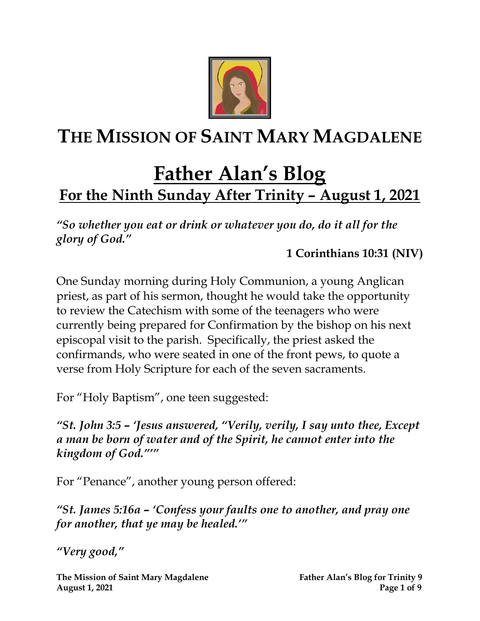

# **THE MISSION OF SAINT MARY MAGDALENE**

# **Father Alan's Blog For the Ninth Sunday After Trinity – August 1, 2021**

*"So whether you eat or drink or whatever you do, do it all for the glory of God."* 

**1 Corinthians 10:31 (NIV)**

One Sunday morning during Holy Communion, a young Anglican priest, as part of his sermon, thought he would take the opportunity to review the Catechism with some of the teenagers who were currently being prepared for Confirmation by the bishop on his next episcopal visit to the parish. Specifically, the priest asked the confirmands, who were seated in one of the front pews, to quote a verse from Holy Scripture for each of the seven sacraments.

For "Holy Baptism", one teen suggested:

*"St. John 3:5 – 'Jesus answered, "Verily, verily, I say unto thee, Except a man be born of water and of the Spirit, he cannot enter into the kingdom of God."'"* 

For "Penance", another young person offered:

*"St. James 5:16a – 'Confess your faults one to another, and pray one for another, that ye may be healed.'"*

*"Very good, "*

**The Mission of Saint Mary Magdalene Father Alan's Blog for Trinity 9 August 1, 2021 Page 1 of 9**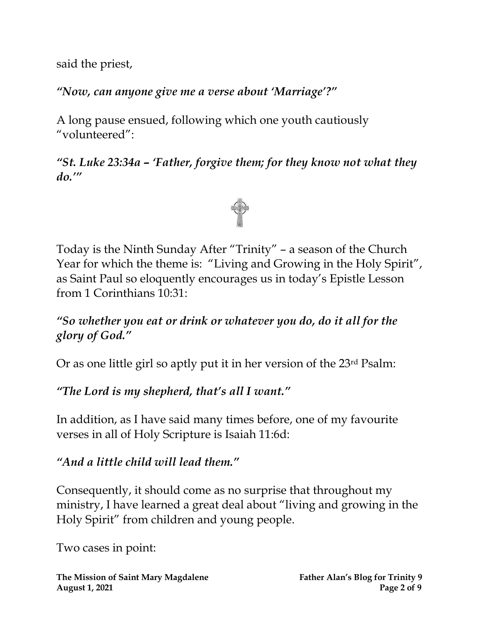said the priest,

*"Now, can anyone give me a verse about 'Marriage'?"* 

A long pause ensued, following which one youth cautiously "volunteered":

*"St. Luke 23:34a – 'Father, forgive them; for they know not what they do.'"*



Today is the Ninth Sunday After "Trinity" – a season of the Church Year for which the theme is: "Living and Growing in the Holy Spirit", as Saint Paul so eloquently encourages us in today's Epistle Lesson from 1 Corinthians 10:31:

*"So whether you eat or drink or whatever you do, do it all for the glory of God."*

Or as one little girl so aptly put it in her version of the 23rd Psalm:

*"The Lord is my shepherd, that's all I want."*

In addition, as I have said many times before, one of my favourite verses in all of Holy Scripture is Isaiah 11:6d:

*"And a little child will lead them."*

Consequently, it should come as no surprise that throughout my ministry, I have learned a great deal about "living and growing in the Holy Spirit" from children and young people.

Two cases in point: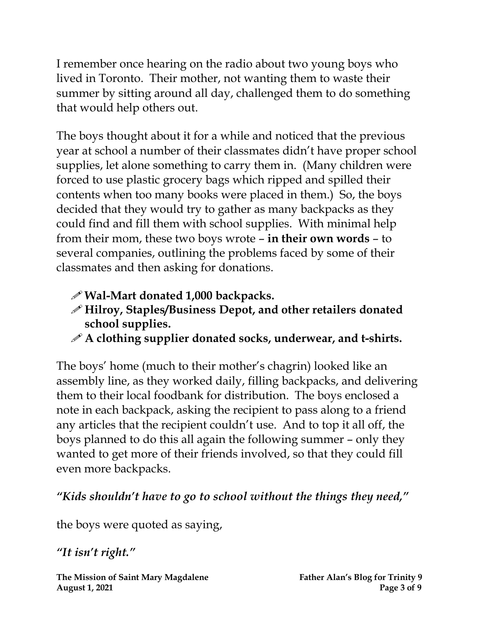I remember once hearing on the radio about two young boys who lived in Toronto. Their mother, not wanting them to waste their summer by sitting around all day, challenged them to do something that would help others out.

The boys thought about it for a while and noticed that the previous year at school a number of their classmates didn't have proper school supplies, let alone something to carry them in. (Many children were forced to use plastic grocery bags which ripped and spilled their contents when too many books were placed in them.) So, the boys decided that they would try to gather as many backpacks as they could find and fill them with school supplies. With minimal help from their mom, these two boys wrote – **in their own words** – to several companies, outlining the problems faced by some of their classmates and then asking for donations.

- **Wal-Mart donated 1,000 backpacks.**
- **Hilroy, Staples/Business Depot, and other retailers donated school supplies.**
- **A clothing supplier donated socks, underwear, and t-shirts.**

The boys' home (much to their mother's chagrin) looked like an assembly line, as they worked daily, filling backpacks, and delivering them to their local foodbank for distribution. The boys enclosed a note in each backpack, asking the recipient to pass along to a friend any articles that the recipient couldn't use. And to top it all off, the boys planned to do this all again the following summer – only they wanted to get more of their friends involved, so that they could fill even more backpacks.

### *"Kids shouldn't have to go to school without the things they need,"*

the boys were quoted as saying,

*"It isn't right."*

**The Mission of Saint Mary Magdalene Father Alan's Blog for Trinity 9 August 1, 2021** Page 3 of 9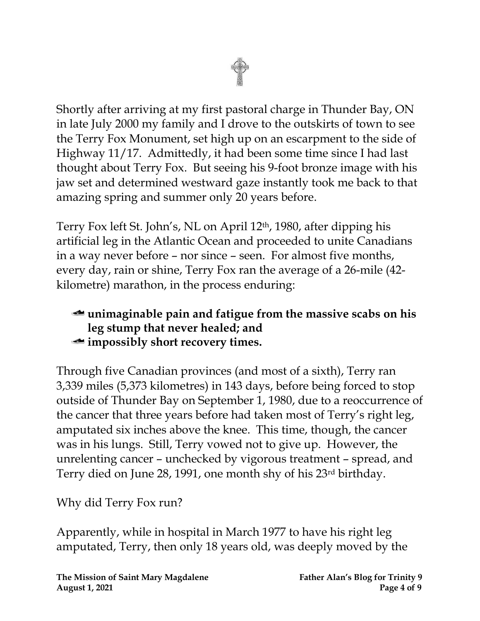Shortly after arriving at my first pastoral charge in Thunder Bay, ON in late July 2000 my family and I drove to the outskirts of town to see the Terry Fox Monument, set high up on an escarpment to the side of Highway 11/17. Admittedly, it had been some time since I had last thought about Terry Fox. But seeing his 9-foot bronze image with his jaw set and determined westward gaze instantly took me back to that amazing spring and summer only 20 years before.

Terry Fox left St. John's, NL on April 12th, 1980, after dipping his artificial leg in the Atlantic Ocean and proceeded to unite Canadians in a way never before – nor since – seen. For almost five months, every day, rain or shine, Terry Fox ran the average of a 26-mile (42 kilometre) marathon, in the process enduring:

#### **unimaginable pain and fatigue from the massive scabs on his leg stump that never healed; and impossibly short recovery times.**

Through five Canadian provinces (and most of a sixth), Terry ran 3,339 miles (5,373 kilometres) in 143 days, before being forced to stop outside of Thunder Bay on September 1, 1980, due to a reoccurrence of the cancer that three years before had taken most of Terry's right leg, amputated six inches above the knee. This time, though, the cancer was in his lungs. Still, Terry vowed not to give up. However, the unrelenting cancer – unchecked by vigorous treatment – spread, and Terry died on June 28, 1991, one month shy of his 23rd birthday.

Why did Terry Fox run?

Apparently, while in hospital in March 1977 to have his right leg amputated, Terry, then only 18 years old, was deeply moved by the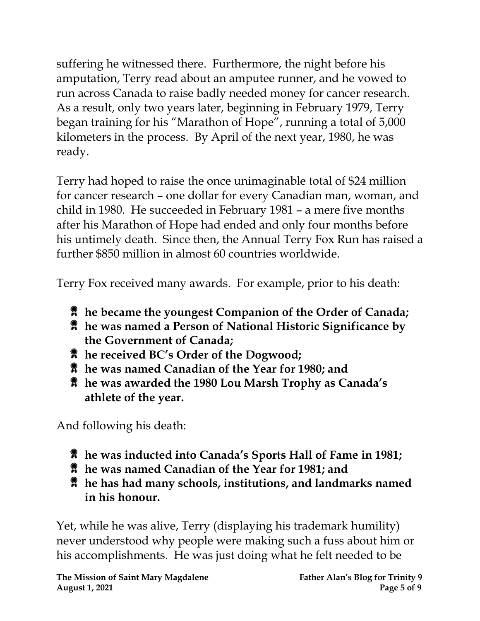suffering he witnessed there. Furthermore, the night before his amputation, Terry read about an amputee runner, and he vowed to run across Canada to raise badly needed money for cancer research. As a result, only two years later, beginning in February 1979, Terry began training for his "Marathon of Hope", running a total of 5,000 kilometers in the process. By April of the next year, 1980, he was ready.

Terry had hoped to raise the once unimaginable total of \$24 million for cancer research – one dollar for every Canadian man, woman, and child in 1980. He succeeded in February 1981 – a mere five months after his Marathon of Hope had ended and only four months before his untimely death. Since then, the Annual Terry Fox Run has raised a further \$850 million in almost 60 countries worldwide.

Terry Fox received many awards. For example, prior to his death:

- **he became the youngest Companion of the Order of Canada;**
- **he was named a Person of National Historic Significance by the Government of Canada;**
- **he received BC's Order of the Dogwood;**
- **he was named Canadian of the Year for 1980; and**
- **he was awarded the 1980 [Lou Marsh Trophy](https://www.thecanadianencyclopedia.ca/en/article/lou-marsh-trophy/) as Canada's athlete of the year.**

And following his death:

- **he was inducted into [Canada's Sports Hall of Fame](https://www.thecanadianencyclopedia.ca/en/article/canadas-sports-hall-of-fame/) in 1981;**
- **he was named Canadian of the Year for 1981; and**
- **he has had many schools, institutions, and landmarks named in his honour.**

Yet, while he was alive, Terry (displaying his trademark humility) never understood why people were making such a fuss about him or his accomplishments. He was just doing what he felt needed to be

**The Mission of Saint Mary Magdalene Father Alan's Blog for Trinity 9 August 1, 2021 Page 5** of 9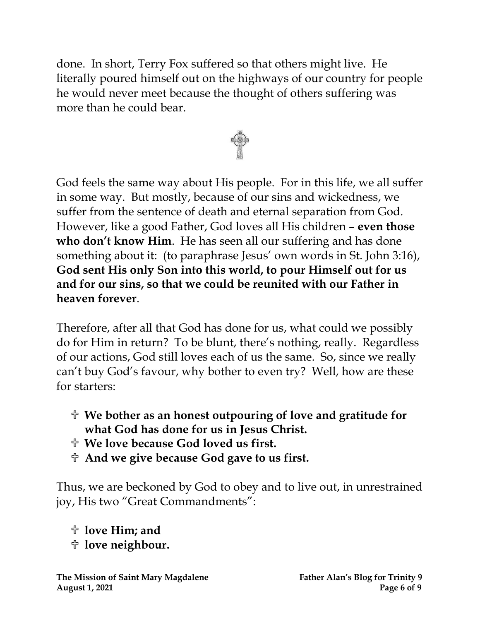done. In short, Terry Fox suffered so that others might live. He literally poured himself out on the highways of our country for people he would never meet because the thought of others suffering was more than he could bear.



God feels the same way about His people. For in this life, we all suffer in some way. But mostly, because of our sins and wickedness, we suffer from the sentence of death and eternal separation from God. However, like a good Father, God loves all His children – **even those who don't know Him**. He has seen all our suffering and has done something about it: (to paraphrase Jesus' own words in St. John 3:16), **God sent His only Son into this world, to pour Himself out for us and for our sins, so that we could be reunited with our Father in heaven forever**.

Therefore, after all that God has done for us, what could we possibly do for Him in return? To be blunt, there's nothing, really. Regardless of our actions, God still loves each of us the same. So, since we really can't buy God's favour, why bother to even try? Well, how are these for starters:

- **We bother as an honest outpouring of love and gratitude for what God has done for us in Jesus Christ.**
- **We love because God loved us first.**
- **And we give because God gave to us first.**

Thus, we are beckoned by God to obey and to live out, in unrestrained joy, His two "Great Commandments":

**love Him; and** 

**love neighbour.**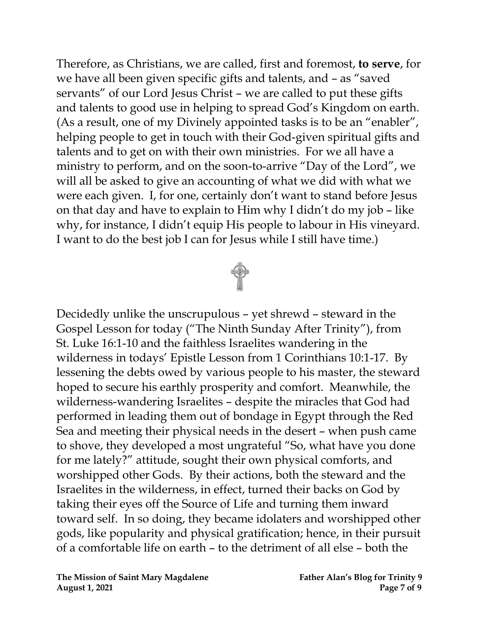Therefore, as Christians, we are called, first and foremost, **to serve**, for we have all been given specific gifts and talents, and – as "saved servants" of our Lord Jesus Christ – we are called to put these gifts and talents to good use in helping to spread God's Kingdom on earth. (As a result, one of my Divinely appointed tasks is to be an "enabler", helping people to get in touch with their God-given spiritual gifts and talents and to get on with their own ministries. For we all have a ministry to perform, and on the soon-to-arrive "Day of the Lord", we will all be asked to give an accounting of what we did with what we were each given. I, for one, certainly don't want to stand before Jesus on that day and have to explain to Him why I didn't do my job – like why, for instance, I didn't equip His people to labour in His vineyard. I want to do the best job I can for Jesus while I still have time.)



Decidedly unlike the unscrupulous – yet shrewd – steward in the Gospel Lesson for today ("The Ninth Sunday After Trinity"), from St. Luke 16:1-10 and the faithless Israelites wandering in the wilderness in todays' Epistle Lesson from 1 Corinthians 10:1-17. By lessening the debts owed by various people to his master, the steward hoped to secure his earthly prosperity and comfort. Meanwhile, the wilderness-wandering Israelites – despite the miracles that God had performed in leading them out of bondage in Egypt through the Red Sea and meeting their physical needs in the desert – when push came to shove, they developed a most ungrateful "So, what have you done for me lately?" attitude, sought their own physical comforts, and worshipped other Gods. By their actions, both the steward and the Israelites in the wilderness, in effect, turned their backs on God by taking their eyes off the Source of Life and turning them inward toward self. In so doing, they became idolaters and worshipped other gods, like popularity and physical gratification; hence, in their pursuit of a comfortable life on earth – to the detriment of all else – both the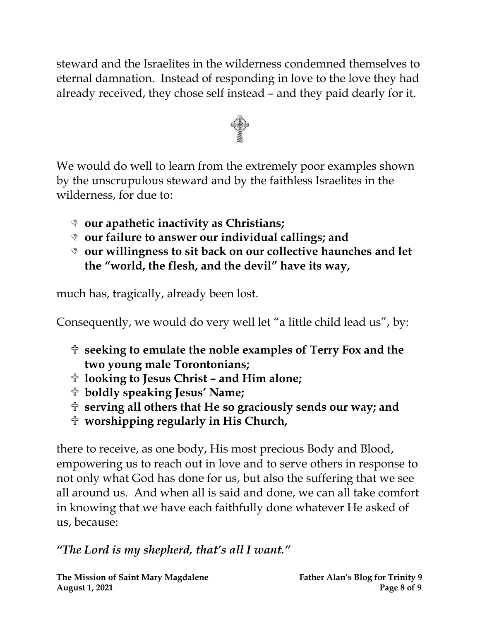steward and the Israelites in the wilderness condemned themselves to eternal damnation. Instead of responding in love to the love they had already received, they chose self instead – and they paid dearly for it.



We would do well to learn from the extremely poor examples shown by the unscrupulous steward and by the faithless Israelites in the wilderness, for due to:

- **our apathetic inactivity as Christians;**
- **our failure to answer our individual callings; and**
- **our willingness to sit back on our collective haunches and let the "world, the flesh, and the devil" have its way,**

much has, tragically, already been lost.

Consequently, we would do very well let "a little child lead us", by:

- **seeking to emulate the noble examples of Terry Fox and the two young male Torontonians;**
- **looking to Jesus Christ – and Him alone;**
- **boldly speaking Jesus' Name;**
- **serving all others that He so graciously sends our way; and**
- **worshipping regularly in His Church,**

there to receive, as one body, His most precious Body and Blood, empowering us to reach out in love and to serve others in response to not only what God has done for us, but also the suffering that we see all around us. And when all is said and done, we can all take comfort in knowing that we have each faithfully done whatever He asked of us, because:

### *"The Lord is my shepherd, that's all I want."*